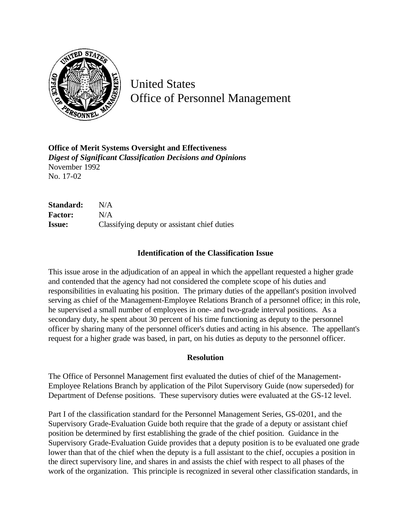

United States Office of Personnel Management

**Office of Merit Systems Oversight and Effectiveness** *Digest of Significant Classification Decisions and Opinions* November 1992 No. 17-02

**Standard:** N/A **Factor:** N/A **Issue:** Classifying deputy or assistant chief duties

## **Identification of the Classification Issue**

This issue arose in the adjudication of an appeal in which the appellant requested a higher grade and contended that the agency had not considered the complete scope of his duties and responsibilities in evaluating his position. The primary duties of the appellant's position involved serving as chief of the Management-Employee Relations Branch of a personnel office; in this role, he supervised a small number of employees in one- and two-grade interval positions. As a secondary duty, he spent about 30 percent of his time functioning as deputy to the personnel officer by sharing many of the personnel officer's duties and acting in his absence. The appellant's request for a higher grade was based, in part, on his duties as deputy to the personnel officer.

## **Resolution**

The Office of Personnel Management first evaluated the duties of chief of the Management-Employee Relations Branch by application of the Pilot Supervisory Guide (now superseded) for Department of Defense positions. These supervisory duties were evaluated at the GS-12 level.

Part I of the classification standard for the Personnel Management Series, GS-0201, and the Supervisory Grade-Evaluation Guide both require that the grade of a deputy or assistant chief position be determined by first establishing the grade of the chief position. Guidance in the Supervisory Grade-Evaluation Guide provides that a deputy position is to be evaluated one grade lower than that of the chief when the deputy is a full assistant to the chief, occupies a position in the direct supervisory line, and shares in and assists the chief with respect to all phases of the work of the organization. This principle is recognized in several other classification standards, in